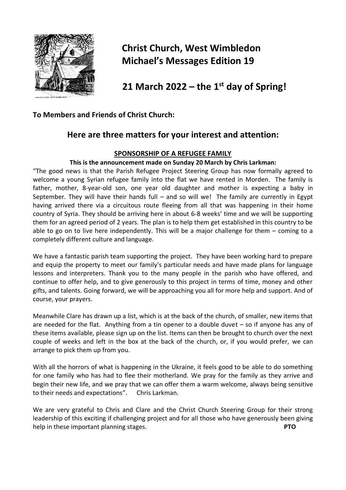

# **Christ Church, West Wimbledon Michael's Messages Edition 19**

 **21 March 2022 – the 1st day of Spring!**

# **To Members and Friends of Christ Church:**

# **Here are three matters for your interest and attention:**

## **SPONSORSHIP OF A REFUGEE FAMILY**

#### **This is the announcement made on Sunday 20 March by Chris Larkman:**

"The good news is that the Parish Refugee Project Steering Group has now formally agreed to welcome a young Syrian refugee family into the flat we have rented in Morden. The family is father, mother, 8-year-old son, one year old daughter and mother is expecting a baby in September. They will have their hands full  $-$  and so will we! The family are currently in Egypt having arrived there via a circuitous route fleeing from all that was happening in their home country of Syria. They should be arriving here in about 6-8 weeks' time and we will be supporting them for an agreed period of 2 years. The plan is to help them get established in this country to be able to go on to live here independently. This will be a major challenge for them – coming to a completely different culture and language.

We have a fantastic parish team supporting the project. They have been working hard to prepare and equip the property to meet our family's particular needs and have made plans for language lessons and interpreters. Thank you to the many people in the parish who have offered, and continue to offer help, and to give generously to this project in terms of time, money and other gifts, and talents. Going forward, we will be approaching you all for more help and support. And of course, your prayers.

Meanwhile Clare has drawn up a list, which is at the back of the church, of smaller, new items that are needed for the flat. Anything from a tin opener to a double duvet – so if anyone has any of these items available, please sign up on the list. Items can then be brought to church over the next couple of weeks and left in the box at the back of the church, or, if you would prefer, we can arrange to pick them up from you.

With all the horrors of what is happening in the Ukraine, it feels good to be able to do something for one family who has had to flee their motherland. We pray for the family as they arrive and begin their new life, and we pray that we can offer them a warm welcome, always being sensitive to their needs and expectations". Chris Larkman.

We are very grateful to Chris and Clare and the Christ Church Steering Group for their strong leadership of this exciting if challenging project and for all those who have generously been giving help in these important planning stages. **PTO**